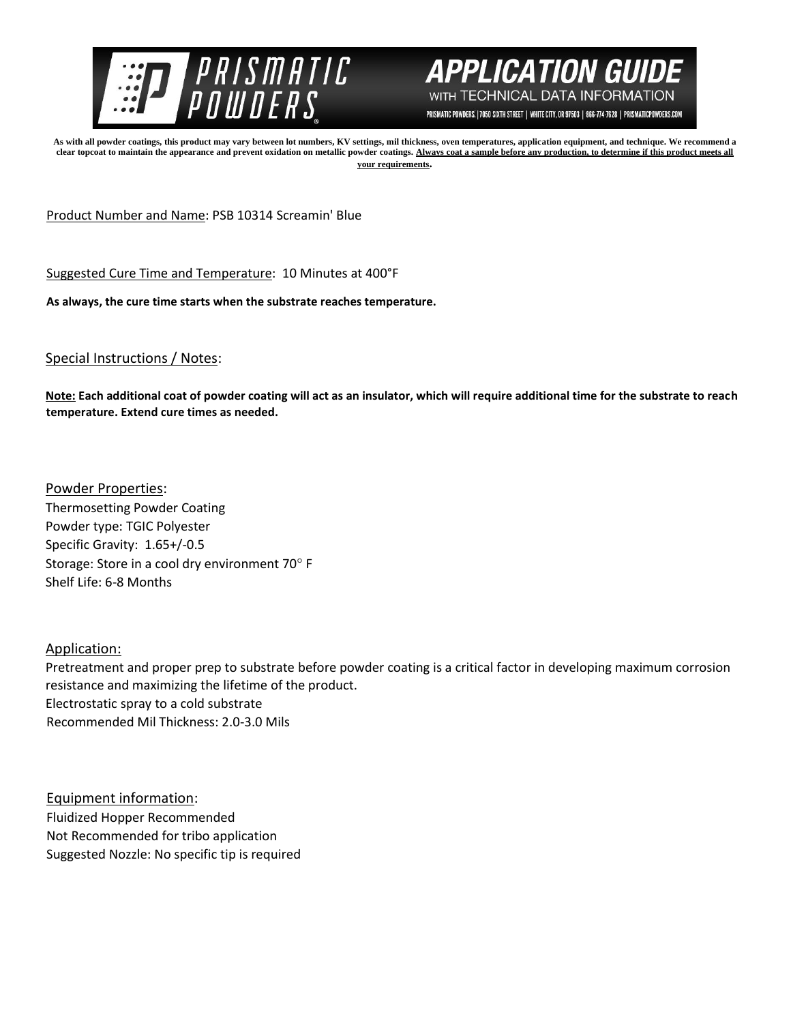



PRISMATIC POWDERS. | 7050 SIXTH STREET | WHITE CITY, OR 97503 | 866-774-7628 | PRISMATICPOWDERS.COM

**As with all powder coatings, this product may vary between lot numbers, KV settings, mil thickness, oven temperatures, application equipment, and technique. We recommend a clear topcoat to maintain the appearance and prevent oxidation on metallic powder coatings. Always coat a sample before any production, to determine if this product meets all your requirements.** 

Product Number and Name: PSB 10314 Screamin' Blue

Suggested Cure Time and Temperature: 10 Minutes at 400°F

**As always, the cure time starts when the substrate reaches temperature.**

## Special Instructions / Notes:

**Note: Each additional coat of powder coating will act as an insulator, which will require additional time for the substrate to reach temperature. Extend cure times as needed.** 

Powder Properties: Thermosetting Powder Coating Powder type: TGIC Polyester Specific Gravity: 1.65+/-0.5 Storage: Store in a cool dry environment 70° F Shelf Life: 6-8 Months

Application:

Pretreatment and proper prep to substrate before powder coating is a critical factor in developing maximum corrosion resistance and maximizing the lifetime of the product. Electrostatic spray to a cold substrate Recommended Mil Thickness: 2.0-3.0 Mils

Equipment information: Fluidized Hopper Recommended Not Recommended for tribo application Suggested Nozzle: No specific tip is required